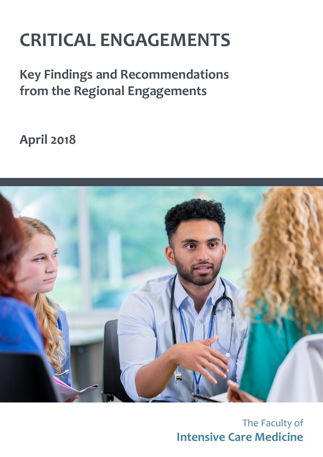# **CRITICAL ENGAGEMENTS**

**Key Findings and Recommendations from the Regional Engagements**

**April 2018**



The Faculty of **Intensive Care Medicine**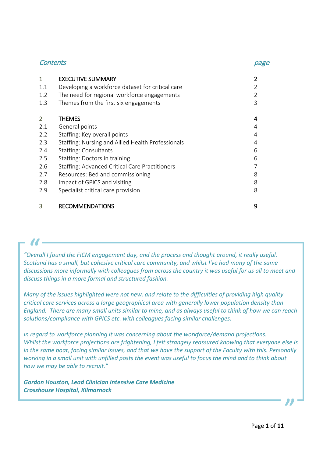#### Contents page

| 1   | <b>EXECUTIVE SUMMARY</b>                          |   |
|-----|---------------------------------------------------|---|
| 1.1 | Developing a workforce dataset for critical care  |   |
| 1.2 | The need for regional workforce engagements       | 2 |
| 1.3 | Themes from the first six engagements             | 3 |
|     |                                                   |   |
| 2   | <b>THEMES</b>                                     | 4 |
| 2.1 | General points                                    | 4 |
| 2.2 | Staffing: Key overall points                      | 4 |
| 2.3 | Staffing: Nursing and Allied Health Professionals | 4 |
| 2.4 | <b>Staffing: Consultants</b>                      | 6 |
| 2.5 | Staffing: Doctors in training                     | 6 |
| 2.6 | Staffing: Advanced Critical Care Practitioners    |   |
| 2.7 | Resources: Bed and commissioning                  | 8 |
| 2.8 | Impact of GPICS and visiting                      | 8 |
| 2.9 | Specialist critical care provision                | 8 |
| 3   |                                                   | 9 |
|     | <b>RECOMMENDATIONS</b>                            |   |

*"Overall I found the FICM engagement day, and the process and thought around, it really useful. Scotland has a small, but cohesive critical care community, and whilst I've had many of the same discussions more informally with colleagues from across the country it was useful for us all to meet and discuss things in a more formal and structured fashion.*  $\mathcal{U}$  -<br>Dverall

*Many of the issues highlighted were not new, and relate to the difficulties of providing high quality critical care services across a large geographical area with generally lower population density than England. There are many small units similar to mine, and as always useful to think of how we can reach solutions/compliance with GPICS etc. with colleagues facing similar challenges.*

*In regard to workforce planning it was concerning about the workforce/demand projections. Whilst the workforce projections are frightening, I felt strangely reassured knowing that everyone else is in the same boat, facing similar issues, and that we have the support of the Faculty with this. Personally working in a small unit with unfilled posts the event was useful to focus the mind and to think about how we may be able to recruit."*

*Gordon Houston, Lead Clinician Intensive Care Medicine Crosshouse Hospital, Kilmarnock*

"<br>"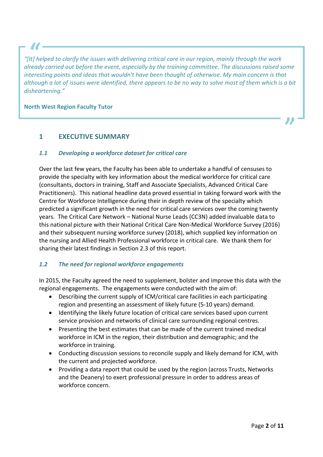*"[It] helped to clarify the issues with delivering critical care in our region, mainly through the work already carried out before the event, especially by the training committee. The discussions raised some interesting points and ideas that wouldn't have been thought of otherwise. My main concern is that although a lot of issues were identified, there appears to be no way to solve most of them which is a bit disheartening."*  $\mathcal{U}$  -<br>It] help<br>ready

#### **North West Region Faculty Tutor**

#### **1 EXECUTIVE SUMMARY**

#### *1.1 Developing a workforce dataset for critical care*

Over the last few years, the Faculty has been able to undertake a handful of censuses to provide the specialty with key information about the medical workforce for critical care (consultants, doctors in training, Staff and Associate Specialists, Advanced Critical Care Practitioners). This national headline data proved essential in taking forward work with the Centre for Workforce Intelligence during their in depth review of the specialty which predicted a significant growth in the need for critical care services over the coming twenty years. The Critical Care Network – National Nurse Leads (CC3N) added invaluable data to this national picture with their National Critical Care Non-Medical Workforce Survey (2016) and their subsequent nursing workforce survey (2018), which supplied key information on the nursing and Allied Health Professional workforce in critical care. We thank them for sharing their latest findings in Section 2.3 of this report.

#### *1.2 The need for regional workforce engagements*

In 2015, the Faculty agreed the need to supplement, bolster and improve this data with the regional engagements. The engagements were conducted with the aim of:

- Describing the current supply of ICM/critical care facilities in each participating region and presenting an assessment of likely future (5-10 years) demand.
- Identifying the likely future location of critical care services based upon current service provision and networks of clinical care surrounding regional centres.
- Presenting the best estimates that can be made of the current trained medical workforce in ICM in the region, their distribution and demographic; and the workforce in training.
- Conducting discussion sessions to reconcile supply and likely demand for ICM, with the current and projected workforce.
- Providing a data report that could be used by the region (across Trusts, Networks and the Deanery) to exert professional pressure in order to address areas of workforce concern.

"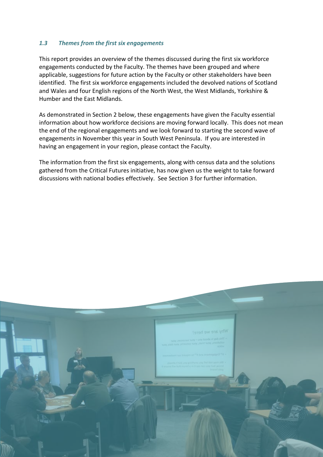#### *1.3 Themes from the first six engagements*

This report provides an overview of the themes discussed during the first six workforce engagements conducted by the Faculty. The themes have been grouped and where applicable, suggestions for future action by the Faculty or other stakeholders have been identified. The first six workforce engagements included the devolved nations of Scotland and Wales and four English regions of the North West, the West Midlands, Yorkshire & Humber and the East Midlands.

As demonstrated in Section 2 below, these engagements have given the Faculty essential information about how workforce decisions are moving forward locally. This does not mean the end of the regional engagements and we look forward to starting the second wave of engagements in November this year in South West Peninsula. If you are interested in having an engagement in your region, please contact the Faculty.

The information from the first six engagements, along with census data and the solutions gathered from the Critical Futures initiative, has now given us the weight to take forward discussions with national bodies effectively. See Section 3 for further information.

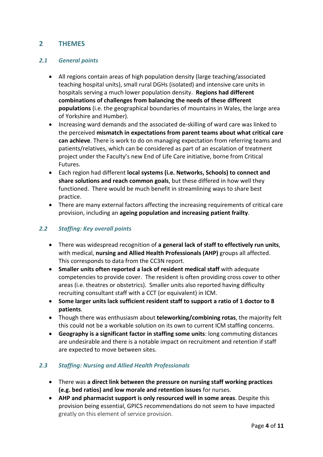#### **2 THEMES**

#### *2.1 General points*

- All regions contain areas of high population density (large teaching/associated teaching hospital units), small rural DGHs (isolated) and intensive care units in hospitals serving a much lower population density. **Regions had different combinations of challenges from balancing the needs of these different populations** (i.e. the geographical boundaries of mountains in Wales, the large area of Yorkshire and Humber).
- Increasing ward demands and the associated de-skilling of ward care was linked to the perceived **mismatch in expectations from parent teams about what critical care can achieve**. There is work to do on managing expectation from referring teams and patients/relatives, which can be considered as part of an escalation of treatment project under the Faculty's new End of Life Care initiative, borne from Critical Futures.
- Each region had different **local systems (i.e. Networks, Schools) to connect and share solutions and reach common goals**, but these differed in how well they functioned. There would be much benefit in streamlining ways to share best practice.
- There are many external factors affecting the increasing requirements of critical care provision, including an **ageing population and increasing patient frailty**.

#### *2.2 Staffing: Key overall points*

- There was widespread recognition of **a general lack of staff to effectively run units**, with medical, **nursing and Allied Health Professionals (AHP)** groups all affected. This corresponds to data from the CC3N report.
- **Smaller units often reported a lack of resident medical staff** with adequate competencies to provide cover. The resident is often providing cross cover to other areas (i.e. theatres or obstetrics). Smaller units also reported having difficulty recruiting consultant staff with a CCT (or equivalent) in ICM.
- **Some larger units lack sufficient resident staff to support a ratio of 1 doctor to 8 patients**.
- Though there was enthusiasm about **teleworking/combining rotas**, the majority felt this could not be a workable solution on its own to current ICM staffing concerns.
- **Geography is a significant factor in staffing some units**: long commuting distances are undesirable and there is a notable impact on recruitment and retention if staff are expected to move between sites.

#### *2.3 Staffing: Nursing and Allied Health Professionals*

- There was **a direct link between the pressure on nursing staff working practices (e.g. bed ratios) and low morale and retention issues** for nurses.
- **AHP and pharmacist support is only resourced well in some areas**. Despite this provision being essential, GPICS recommendations do not seem to have impacted greatly on this element of service provision.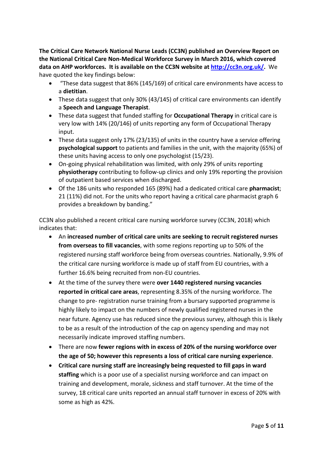**The Critical Care Network National Nurse Leads (CC3N) published an Overview Report on the National Critical Care Non-Medical Workforce Survey in March 2016, which covered data on AHP workforces. It is available on the CC3N website at [http://cc3n.org.uk/.](http://cc3n.org.uk/)** We have quoted the key findings below:

- "These data suggest that 86% (145/169) of critical care environments have access to a **dietitian**.
- These data suggest that only 30% (43/145) of critical care environments can identify a **Speech and Language Therapist**.
- These data suggest that funded staffing for **Occupational Therapy** in critical care is very low with 14% (20/146) of units reporting any form of Occupational Therapy input.
- These data suggest only 17% (23/135) of units in the country have a service offering **psychological support** to patients and families in the unit, with the majority (65%) of these units having access to only one psychologist (15/23).
- On-going physical rehabilitation was limited, with only 29% of units reporting **physiotherapy** contributing to follow-up clinics and only 19% reporting the provision of outpatient based services when discharged.
- Of the 186 units who responded 165 (89%) had a dedicated critical care **pharmacist**; 21 (11%) did not. For the units who report having a critical care pharmacist graph 6 provides a breakdown by banding."

CC3N also published a recent critical care nursing workforce survey (CC3N, 2018) which indicates that:

- An **increased number of critical care units are seeking to recruit registered nurses from overseas to fill vacancies**, with some regions reporting up to 50% of the registered nursing staff workforce being from overseas countries. Nationally, 9.9% of the critical care nursing workforce is made up of staff from EU countries, with a further 16.6% being recruited from non-EU countries.
- At the time of the survey there were **over 1440 registered nursing vacancies reported in critical care areas**, representing 8.35% of the nursing workforce. The change to pre- registration nurse training from a bursary supported programme is highly likely to impact on the numbers of newly qualified registered nurses in the near future. Agency use has reduced since the previous survey, although this is likely to be as a result of the introduction of the cap on agency spending and may not necessarily indicate improved staffing numbers.
- There are now **fewer regions with in excess of 20% of the nursing workforce over the age of 50; however this represents a loss of critical care nursing experience**.
- **Critical care nursing staff are increasingly being requested to fill gaps in ward staffing** which is a poor use of a specialist nursing workforce and can impact on training and development, morale, sickness and staff turnover. At the time of the survey, 18 critical care units reported an annual staff turnover in excess of 20% with some as high as 42%.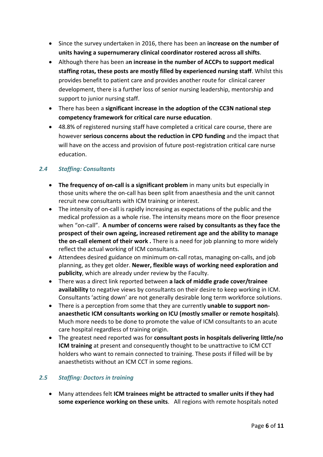- Since the survey undertaken in 2016, there has been an **increase on the number of units having a supernumerary clinical coordinator rostered across all shifts**.
- Although there has been a**n increase in the number of ACCPs to support medical staffing rotas, these posts are mostly filled by experienced nursing staff**. Whilst this provides benefit to patient care and provides another route for clinical career development, there is a further loss of senior nursing leadership, mentorship and support to junior nursing staff.
- There has been a **significant increase in the adoption of the CC3N national step competency framework for critical care nurse education**.
- 48.8% of registered nursing staff have completed a critical care course, there are however **serious concerns about the reduction in CPD funding** and the impact that will have on the access and provision of future post-registration critical care nurse education.

#### *2.4 Staffing: Consultants*

- **The frequency of on-call is a significant problem** in many units but especially in those units where the on-call has been split from anaesthesia and the unit cannot recruit new consultants with ICM training or interest.
- The intensity of on-call is rapidly increasing as expectations of the public and the medical profession as a whole rise. The intensity means more on the floor presence when "on-call". **A number of concerns were raised by consultants as they face the prospect of their own ageing, increased retirement age and the ability to manage the on-call element of their work .** There is a need for job planning to more widely reflect the actual working of ICM consultants.
- Attendees desired guidance on minimum on-call rotas, managing on-calls, and job planning, as they get older. **Newer, flexible ways of working need exploration and publicity**, which are already under review by the Faculty.
- There was a direct link reported between **a lack of middle grade cover/trainee availability** to negative views by consultants on their desire to keep working in ICM. Consultants 'acting down' are not generally desirable long term workforce solutions.
- There is a perception from some that they are currently **unable to support nonanaesthetic ICM consultants working on ICU (mostly smaller or remote hospitals)**. Much more needs to be done to promote the value of ICM consultants to an acute care hospital regardless of training origin.
- The greatest need reported was for **consultant posts in hospitals delivering little/no ICM training** at present and consequently thought to be unattractive to ICM CCT holders who want to remain connected to training. These posts if filled will be by anaesthetists without an ICM CCT in some regions.

#### *2.5 Staffing: Doctors in training*

• Many attendees felt **ICM trainees might be attracted to smaller units if they had some experience working on these units**. All regions with remote hospitals noted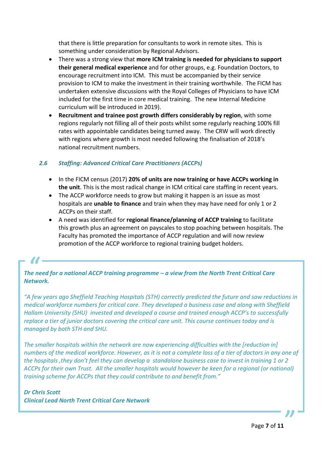that there is little preparation for consultants to work in remote sites. This is something under consideration by Regional Advisors.

- There was a strong view that **more ICM training is needed for physicians to support their general medical experience** and for other groups, e.g. Foundation Doctors, to encourage recruitment into ICM. This must be accompanied by their service provision to ICM to make the investment in their training worthwhile. The FICM has undertaken extensive discussions with the Royal Colleges of Physicians to have ICM included for the first time in core medical training. The new Internal Medicine curriculum will be introduced in 2019).
- **Recruitment and trainee post growth differs considerably by region**, with some regions regularly not filling all of their posts whilst some regularly reaching 100% fill rates with appointable candidates being turned away. The CRW will work directly with regions where growth is most needed following the finalisation of 2018's national recruitment numbers.

#### *2.6 Staffing: Advanced Critical Care Practitioners (ACCPs)*

- In the FICM census (2017) **20% of units are now training or have ACCPs working in the unit**. This is the most radical change in ICM critical care staffing in recent years.
- The ACCP workforce needs to grow but making it happen is an issue as most hospitals are **unable to finance** and train when they may have need for only 1 or 2 ACCPs on their staff.
- A need was identified for **regional finance/planning of ACCP training** to facilitate this growth plus an agreement on payscales to stop poaching between hospitals. The Faculty has promoted the importance of ACCP regulation and will now review promotion of the ACCP workforce to regional training budget holders.

## *The need for a national ACCP training programme – a view from the North Trent Critical Care Network.*  $\mathcal{U}$  -<br> $\mathcal{U}$  ne need

*"A few years ago Sheffield Teaching Hospitals (STH) correctly predicted the future and saw reductions in medical workforce numbers for critical care. They developed a business case and along with Sheffield Hallam University (SHU) invested and developed a course and trained enough ACCP's to successfully replace a tier of junior doctors covering the critical care unit. This course continues today and is managed by both STH and SHU.*

*The smaller hospitals within the network are now experiencing difficulties with the [reduction in] numbers of the medical workforce. However, as it is not a complete loss of a tier of doctors in any one of the hospitals ,they don't feel they can develop a standalone business case to invest in training 1 or 2 ACCPs for their own Trust. All the smaller hospitals would however be keen for a regional (or national) training scheme for ACCPs that they could contribute to and benefit from."*

#### *Dr Chris Scott*

*Clinical Lead North Trent Critical Care Network*

"<br>"<br>"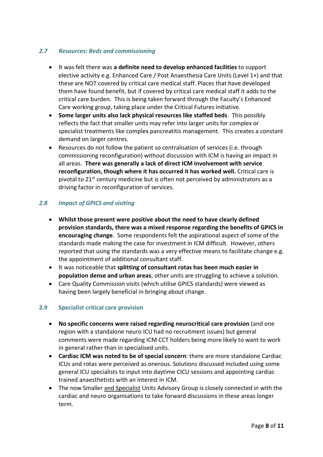#### *2.7 Resources: Beds and commissioning*

- It was felt there was **a definite need to develop enhanced facilities** to support elective activity e.g. Enhanced Care / Post Anaesthesia Care Units (Level 1+) and that these are NOT covered by critical care medical staff. Places that have developed them have found benefit, but if covered by critical care medical staff it adds to the critical care burden. This is being taken forward through the Faculty's Enhanced Care working group, taking place under the Critical Futures initiative.
- **Some larger units also lack physical resources like staffed beds**. This possibly reflects the fact that smaller units may refer into larger units for complex or specialist treatments like complex pancreatitis management. This creates a constant demand on larger centres.
- Resources do not follow the patient so centralisation of services (i.e. through commissioning reconfiguration) without discussion with ICM is having an impact in all areas. **There was generally a lack of direct ICM involvement with service reconfiguration, though where it has occurred it has worked well.** Critical care is pivotal to  $21<sup>st</sup>$  century medicine but is often not perceived by administrators as a driving factor in reconfiguration of services.

#### *2.8 Impact of GPICS and visiting*

- **Whilst those present were positive about the need to have clearly defined provision standards, there was a mixed response regarding the benefits of GPICS in encouraging change**. Some respondents felt the aspirational aspect of some of the standards made making the case for investment in ICM difficult. However, others reported that using the standards was a very effective means to facilitate change e.g. the appointment of additional consultant staff.
- It was noticeable that **splitting of consultant rotas has been much easier in population dense and urban areas**; other units are struggling to achieve a solution.
- Care Quality Commission visits (which utilise GPICS standards) were viewed as having been largely beneficial in bringing about change.

#### **2.9 Specialist critical care provision**

- **No specific concerns were raised regarding neurocritical care provision** (and one region with a standalone neuro ICU had no recruitment issues) but general comments were made regarding ICM CCT holders being more likely to want to work in general rather than in specialised units.
- **Cardiac ICM was noted to be of special concern**: there are more standalone Cardiac ICUs and rotas were perceived as onerous. Solutions discussed included using some general ICU specialists to input into daytime CICU sessions and appointing cardiac trained anaesthetists with an interest in ICM.
- The now Smaller and Specialist Units Advisory Group is closely connected in with the cardiac and neuro organisations to take forward discussions in these areas longer term.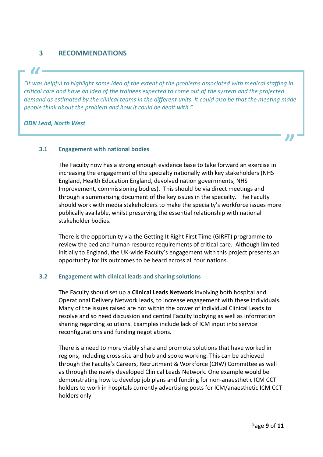### **3 RECOMMENDATIONS**

*"It was helpful to highlight some idea of the extent of the problems associated with medical staffing in critical care and have an idea of the trainees expected to come out of the system and the projected demand as estimated by the clinical teams in the different units. It could also be that the meeting made people think about the problem and how it could be dealt with."*  $\mathbf{U}$  -<br>t was *t*<br>itical c

#### *ODN Lead, North West*

#### **3.1 Engagement with national bodies**

The Faculty now has a strong enough evidence base to take forward an exercise in increasing the engagement of the specialty nationally with key stakeholders (NHS England, Health Education England, devolved nation governments, NHS Improvement, commissioning bodies). This should be via direct meetings and through a summarising document of the key issues in the specialty. The Faculty should work with media stakeholders to make the specialty's workforce issues more publically available, whilst preserving the essential relationship with national stakeholder bodies.

There is the opportunity via the Getting It Right First Time (GIRFT) programme to review the bed and human resource requirements of critical care. Although limited initially to England, the UK-wide Faculty's engagement with this project presents an opportunity for its outcomes to be heard across all four nations.

#### **3.2 Engagement with clinical leads and sharing solutions**

The Faculty should set up a **Clinical Leads Network** involving both hospital and Operational Delivery Network leads, to increase engagement with these individuals. Many of the issues raised are not within the power of individual Clinical Leads to resolve and so need discussion and central Faculty lobbying as well as information sharing regarding solutions. Examples include lack of ICM input into service reconfigurations and funding negotiations.

There is a need to more visibly share and promote solutions that have worked in regions, including cross-site and hub and spoke working. This can be achieved through the Faculty's Careers, Recruitment & Workforce (CRW) Committee as well as through the newly developed Clinical Leads Network. One example would be demonstrating how to develop job plans and funding for non-anaesthetic ICM CCT holders to work in hospitals currently advertising posts for ICM/anaesthetic ICM CCT holders only.

"<br>"<br>"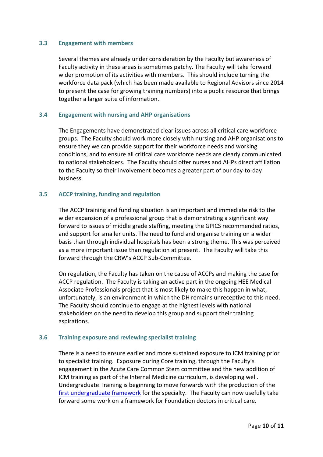#### **3.3 Engagement with members**

Several themes are already under consideration by the Faculty but awareness of Faculty activity in these areas is sometimes patchy. The Faculty will take forward wider promotion of its activities with members. This should include turning the workforce data pack (which has been made available to Regional Advisors since 2014 to present the case for growing training numbers) into a public resource that brings together a larger suite of information.

#### **3.4 Engagement with nursing and AHP organisations**

The Engagements have demonstrated clear issues across all critical care workforce groups. The Faculty should work more closely with nursing and AHP organisations to ensure they we can provide support for their workforce needs and working conditions, and to ensure all critical care workforce needs are clearly communicated to national stakeholders. The Faculty should offer nurses and AHPs direct affiliation to the Faculty so their involvement becomes a greater part of our day-to-day business.

#### **3.5 ACCP training, funding and regulation**

The ACCP training and funding situation is an important and immediate risk to the wider expansion of a professional group that is demonstrating a significant way forward to issues of middle grade staffing, meeting the GPICS recommended ratios, and support for smaller units. The need to fund and organise training on a wider basis than through individual hospitals has been a strong theme. This was perceived as a more important issue than regulation at present. The Faculty will take this forward through the CRW's ACCP Sub-Committee.

On regulation, the Faculty has taken on the cause of ACCPs and making the case for ACCP regulation. The Faculty is taking an active part in the ongoing HEE Medical Associate Professionals project that is most likely to make this happen in what, unfortunately, is an environment in which the DH remains unreceptive to this need. The Faculty should continue to engage at the highest levels with national stakeholders on the need to develop this group and support their training aspirations.

#### **3.6 Training exposure and reviewing specialist training**

There is a need to ensure earlier and more sustained exposure to ICM training prior to specialist training. Exposure during Core training, through the Faculty's engagement in the Acute Care Common Stem committee and the new addition of ICM training as part of the Internal Medicine curriculum, is developing well. Undergraduate Training is beginning to move forwards with the production of the [first undergraduate framework](https://www.ficm.ac.uk/training-examinations/undergraduate-education) for the specialty. The Faculty can now usefully take forward some work on a framework for Foundation doctors in critical care.